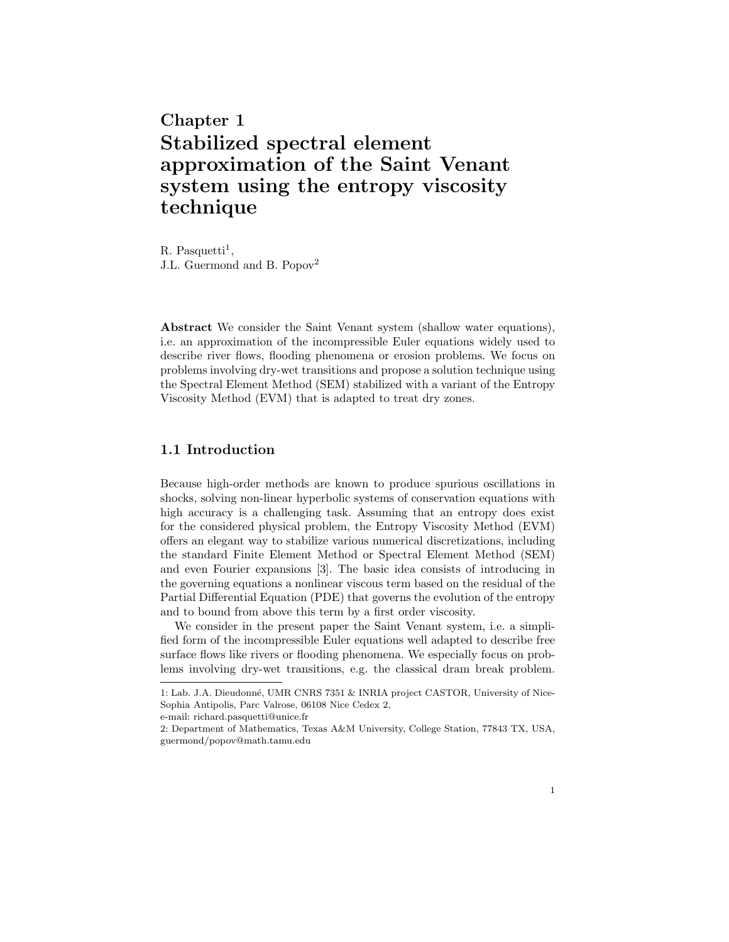# Chapter 1 Stabilized spectral element approximation of the Saint Venant system using the entropy viscosity technique

 $R.$  Pasquetti<sup>1</sup>, J.L. Guermond and B. Popov<sup>2</sup>

Abstract We consider the Saint Venant system (shallow water equations), i.e. an approximation of the incompressible Euler equations widely used to describe river flows, flooding phenomena or erosion problems. We focus on problems involving dry-wet transitions and propose a solution technique using the Spectral Element Method (SEM) stabilized with a variant of the Entropy Viscosity Method (EVM) that is adapted to treat dry zones.

## 1.1 Introduction

Because high-order methods are known to produce spurious oscillations in shocks, solving non-linear hyperbolic systems of conservation equations with high accuracy is a challenging task. Assuming that an entropy does exist for the considered physical problem, the Entropy Viscosity Method (EVM) offers an elegant way to stabilize various numerical discretizations, including the standard Finite Element Method or Spectral Element Method (SEM) and even Fourier expansions [3]. The basic idea consists of introducing in the governing equations a nonlinear viscous term based on the residual of the Partial Differential Equation (PDE) that governs the evolution of the entropy and to bound from above this term by a first order viscosity.

We consider in the present paper the Saint Venant system, i.e. a simplified form of the incompressible Euler equations well adapted to describe free surface flows like rivers or flooding phenomena. We especially focus on problems involving dry-wet transitions, e.g. the classical dram break problem.

<sup>1:</sup> Lab. J.A. Dieudonn´e, UMR CNRS 7351 & INRIA project CASTOR, University of Nice-Sophia Antipolis, Parc Valrose, 06108 Nice Cedex 2,

e-mail: richard.pasquetti@unice.fr

<sup>2:</sup> Department of Mathematics, Texas A&M University, College Station, 77843 TX, USA, guermond/popov@math.tamu.edu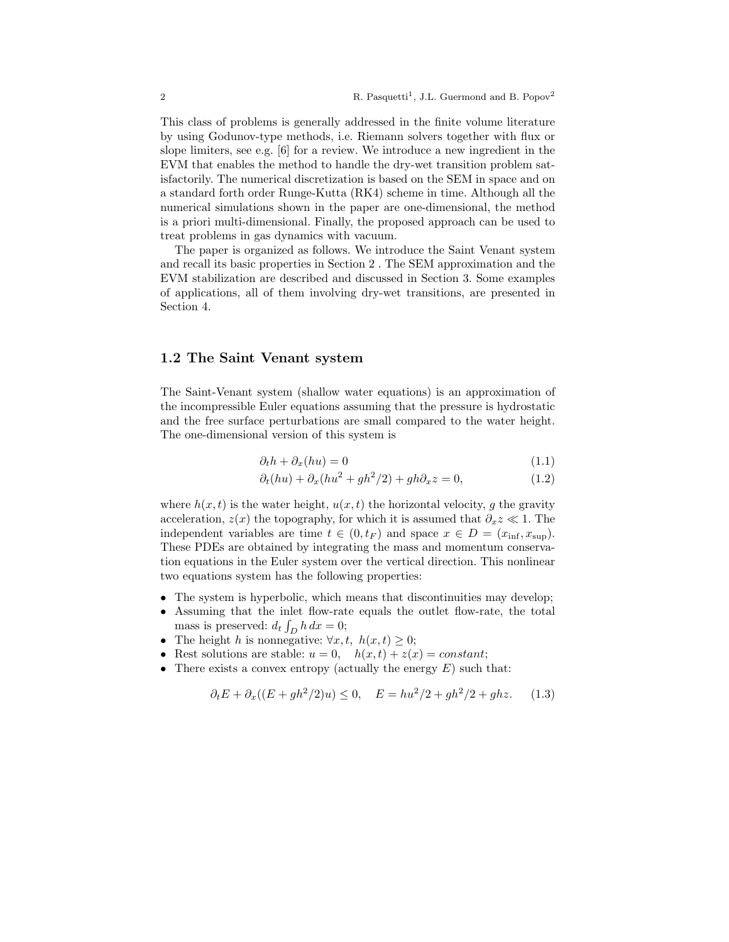This class of problems is generally addressed in the finite volume literature by using Godunov-type methods, i.e. Riemann solvers together with flux or slope limiters, see e.g. [6] for a review. We introduce a new ingredient in the EVM that enables the method to handle the dry-wet transition problem satisfactorily. The numerical discretization is based on the SEM in space and on a standard forth order Runge-Kutta (RK4) scheme in time. Although all the numerical simulations shown in the paper are one-dimensional, the method is a priori multi-dimensional. Finally, the proposed approach can be used to treat problems in gas dynamics with vacuum.

The paper is organized as follows. We introduce the Saint Venant system and recall its basic properties in Section 2 . The SEM approximation and the EVM stabilization are described and discussed in Section 3. Some examples of applications, all of them involving dry-wet transitions, are presented in Section 4.

### 1.2 The Saint Venant system

The Saint-Venant system (shallow water equations) is an approximation of the incompressible Euler equations assuming that the pressure is hydrostatic and the free surface perturbations are small compared to the water height. The one-dimensional version of this system is

$$
\partial_t h + \partial_x (h u) = 0 \tag{1.1}
$$

$$
\partial_t(hu) + \partial_x(hu^2 + gh^2/2) + gh\partial_x z = 0,
$$
\n(1.2)

where  $h(x, t)$  is the water height,  $u(x, t)$  the horizontal velocity, g the gravity acceleration,  $z(x)$  the topography, for which it is assumed that  $\partial_x z \ll 1$ . The independent variables are time  $t \in (0, t_F)$  and space  $x \in D = (x_{\text{inf}}, x_{\text{sup}})$ . These PDEs are obtained by integrating the mass and momentum conservation equations in the Euler system over the vertical direction. This nonlinear two equations system has the following properties:

- The system is hyperbolic, which means that discontinuities may develop;
- Assuming that the inlet flow-rate equals the outlet flow-rate, the total mass is preserved:  $d_t \int_D h \, dx = 0$ ;
- The height h is nonnegative:  $\forall x, t, h(x, t) \geq 0;$
- Rest solutions are stable:  $u = 0$ ,  $h(x, t) + z(x) = constant$ ;
- There exists a convex entropy (actually the energy  $E$ ) such that:

$$
\partial_t E + \partial_x ((E + gh^2/2)u) \le 0, \quad E = hu^2/2 + gh^2/2 + ghz. \tag{1.3}
$$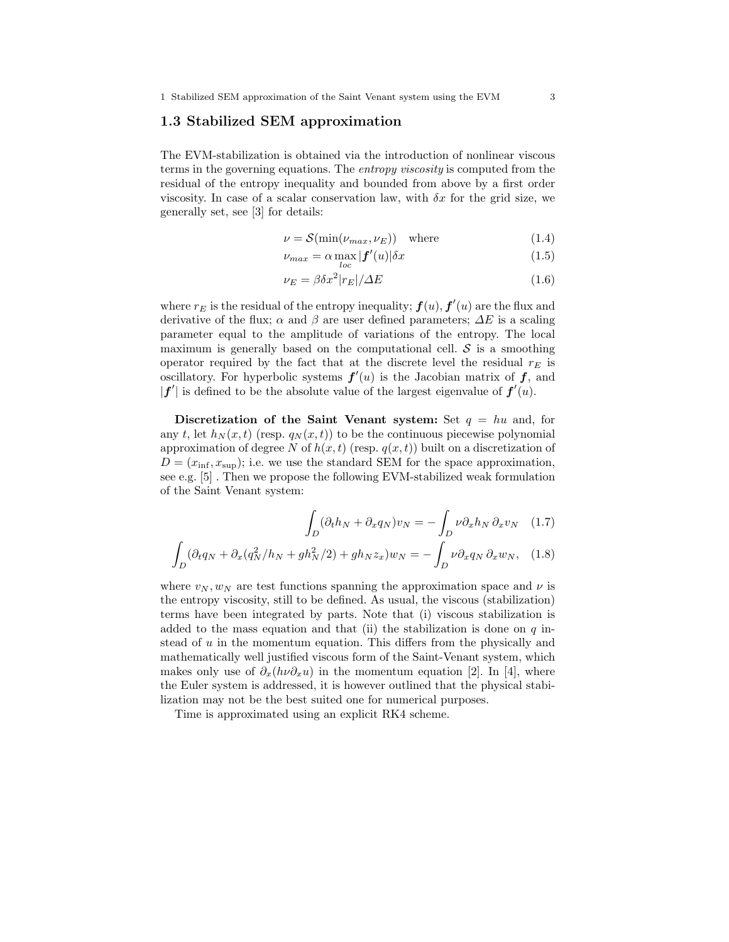#### 1.3 Stabilized SEM approximation

The EVM-stabilization is obtained via the introduction of nonlinear viscous terms in the governing equations. The entropy viscosity is computed from the residual of the entropy inequality and bounded from above by a first order viscosity. In case of a scalar conservation law, with  $\delta x$  for the grid size, we generally set, see [3] for details:

$$
\nu = \mathcal{S}(\min(\nu_{max}, \nu_E)) \quad \text{where} \tag{1.4}
$$

$$
\nu_{max} = \alpha \max_{loc} |\mathbf{f}'(u)| \delta x \tag{1.5}
$$

$$
\nu_E = \beta \delta x^2 |r_E| / \Delta E \tag{1.6}
$$

where  $r_E$  is the residual of the entropy inequality;  $\bm{f}(u)$ ,  $\bm{f}'(u)$  are the flux and derivative of the flux;  $\alpha$  and  $\beta$  are user defined parameters;  $\Delta E$  is a scaling parameter equal to the amplitude of variations of the entropy. The local maximum is generally based on the computational cell.  $\mathcal S$  is a smoothing operator required by the fact that at the discrete level the residual  $r_E$  is oscillatory. For hyperbolic systems  $f'(u)$  is the Jacobian matrix of  $f$ , and  $|f'|$  is defined to be the absolute value of the largest eigenvalue of  $f'(u)$ .

Discretization of the Saint Venant system: Set  $q = hu$  and, for any t, let  $h_N(x, t)$  (resp.  $q_N(x, t)$ ) to be the continuous piecewise polynomial approximation of degree N of  $h(x, t)$  (resp.  $q(x, t)$ ) built on a discretization of  $D = (x_{\text{inf}}, x_{\text{sup}});$  i.e. we use the standard SEM for the space approximation, see e.g. [5] . Then we propose the following EVM-stabilized weak formulation of the Saint Venant system:

$$
\int_{D} (\partial_t h_N + \partial_x q_N) v_N = -\int_{D} \nu \partial_x h_N \partial_x v_N \quad (1.7)
$$

$$
\int_{D} (\partial_t q_N + \partial_x (q_N^2 / h_N + gh_N^2 / 2) + gh_N z_x) w_N = -\int_{D} \nu \partial_x q_N \partial_x w_N, \quad (1.8)
$$

where  $v_N, w_N$  are test functions spanning the approximation space and  $\nu$  is the entropy viscosity, still to be defined. As usual, the viscous (stabilization) terms have been integrated by parts. Note that (i) viscous stabilization is added to the mass equation and that (ii) the stabilization is done on  $q$  instead of  $u$  in the momentum equation. This differs from the physically and mathematically well justified viscous form of the Saint-Venant system, which makes only use of  $\partial_x(h\nu \partial_x u)$  in the momentum equation [2]. In [4], where the Euler system is addressed, it is however outlined that the physical stabilization may not be the best suited one for numerical purposes.

Time is approximated using an explicit RK4 scheme.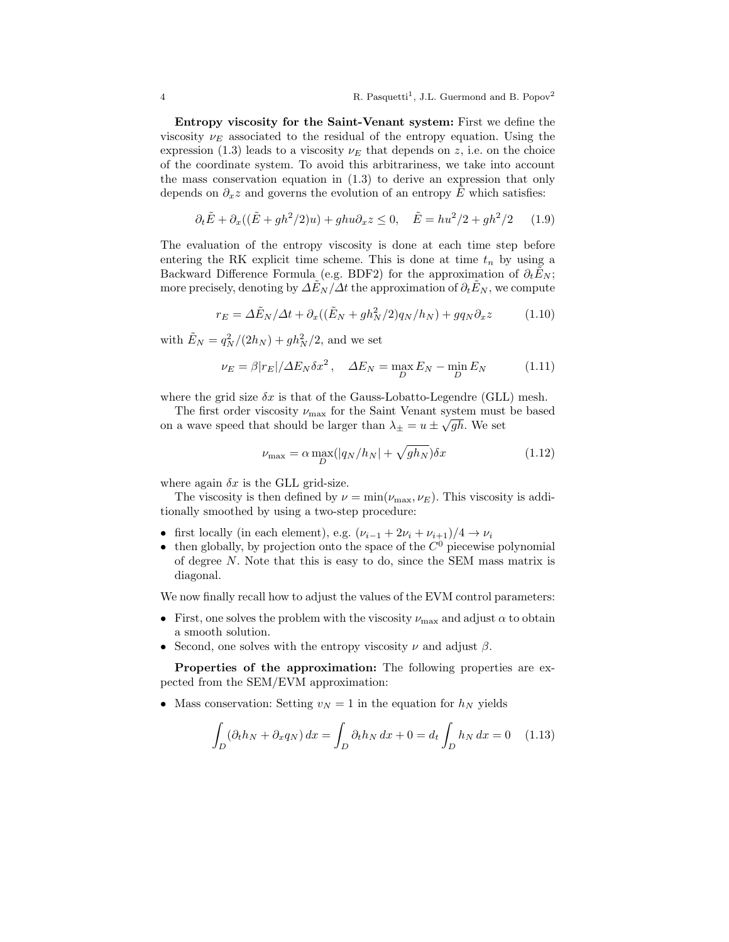Entropy viscosity for the Saint-Venant system: First we define the viscosity  $\nu_E$  associated to the residual of the entropy equation. Using the expression (1.3) leads to a viscosity  $\nu_E$  that depends on z, i.e. on the choice of the coordinate system. To avoid this arbitrariness, we take into account the mass conservation equation in (1.3) to derive an expression that only depends on  $\partial_x z$  and governs the evolution of an entropy E which satisfies:

$$
\partial_t \tilde{E} + \partial_x ((\tilde{E} + gh^2/2)u) + ghu \partial_x z \le 0, \quad \tilde{E} = hu^2/2 + gh^2/2 \tag{1.9}
$$

The evaluation of the entropy viscosity is done at each time step before entering the RK explicit time scheme. This is done at time  $t_n$  by using a Backward Difference Formula (e.g. BDF2) for the approximation of  $\partial_t \tilde{E}_N$ ; more precisely, denoting by  $\Delta E_N/\Delta t$  the approximation of  $\partial_t E_N$ , we compute

$$
r_E = \Delta \tilde{E}_N / \Delta t + \partial_x ((\tilde{E}_N + gh_N^2/2) q_N / h_N) + g q_N \partial_x z \tag{1.10}
$$

with  $\tilde{E}_N = q_N^2/(2h_N) + gh_N^2/2$ , and we set

$$
\nu_E = \beta |r_E| / \Delta E_N \delta x^2, \quad \Delta E_N = \max_D E_N - \min_D E_N \tag{1.11}
$$

where the grid size  $\delta x$  is that of the Gauss-Lobatto-Legendre (GLL) mesh.

The first order viscosity  $\nu_{\text{max}}$  for the Saint Venant system must be based on a wave speed that should be larger than  $\lambda_{\pm} = u \pm \sqrt{gh}$ . We set

$$
\nu_{\text{max}} = \alpha \max_{D} (|q_N/h_N| + \sqrt{gh_N}) \delta x \tag{1.12}
$$

where again  $\delta x$  is the GLL grid-size.

The viscosity is then defined by  $\nu = \min(\nu_{\max}, \nu_E)$ . This viscosity is additionally smoothed by using a two-step procedure:

- first locally (in each element), e.g.  $(\nu_{i-1} + 2\nu_i + \nu_{i+1})/4 \rightarrow \nu_i$
- then globally, by projection onto the space of the  $C^0$  piecewise polynomial of degree N. Note that this is easy to do, since the SEM mass matrix is diagonal.

We now finally recall how to adjust the values of the EVM control parameters:

- First, one solves the problem with the viscosity  $\nu_{\text{max}}$  and adjust  $\alpha$  to obtain a smooth solution.
- Second, one solves with the entropy viscosity  $\nu$  and adjust  $\beta$ .

Properties of the approximation: The following properties are expected from the SEM/EVM approximation:

• Mass conservation: Setting  $v_N = 1$  in the equation for  $h_N$  yields

$$
\int_D (\partial_t h_N + \partial_x q_N) dx = \int_D \partial_t h_N dx + 0 = d_t \int_D h_N dx = 0 \quad (1.13)
$$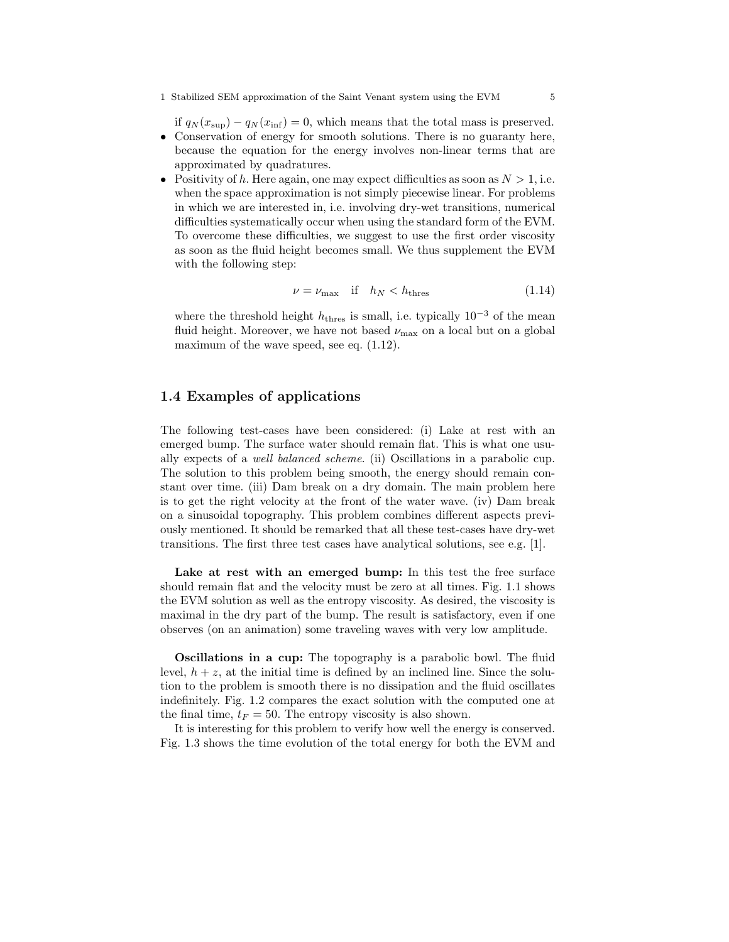if  $q_N(x_{\text{sup}}) - q_N(x_{\text{inf}}) = 0$ , which means that the total mass is preserved. • Conservation of energy for smooth solutions. There is no guaranty here, because the equation for the energy involves non-linear terms that are

- approximated by quadratures. • Positivity of h. Here again, one may expect difficulties as soon as  $N > 1$ , i.e.
- when the space approximation is not simply piecewise linear. For problems in which we are interested in, i.e. involving dry-wet transitions, numerical difficulties systematically occur when using the standard form of the EVM. To overcome these difficulties, we suggest to use the first order viscosity as soon as the fluid height becomes small. We thus supplement the EVM with the following step:

$$
\nu = \nu_{\text{max}} \quad \text{if} \quad h_N < h_{\text{thres}} \tag{1.14}
$$

where the threshold height  $h_{\text{thres}}$  is small, i.e. typically  $10^{-3}$  of the mean fluid height. Moreover, we have not based  $\nu_{\text{max}}$  on a local but on a global maximum of the wave speed, see eq.  $(1.12)$ .

## 1.4 Examples of applications

The following test-cases have been considered: (i) Lake at rest with an emerged bump. The surface water should remain flat. This is what one usually expects of a well balanced scheme. (ii) Oscillations in a parabolic cup. The solution to this problem being smooth, the energy should remain constant over time. (iii) Dam break on a dry domain. The main problem here is to get the right velocity at the front of the water wave. (iv) Dam break on a sinusoidal topography. This problem combines different aspects previously mentioned. It should be remarked that all these test-cases have dry-wet transitions. The first three test cases have analytical solutions, see e.g. [1].

Lake at rest with an emerged bump: In this test the free surface should remain flat and the velocity must be zero at all times. Fig. 1.1 shows the EVM solution as well as the entropy viscosity. As desired, the viscosity is maximal in the dry part of the bump. The result is satisfactory, even if one observes (on an animation) some traveling waves with very low amplitude.

**Oscillations in a cup:** The topography is a parabolic bowl. The fluid level,  $h + z$ , at the initial time is defined by an inclined line. Since the solution to the problem is smooth there is no dissipation and the fluid oscillates indefinitely. Fig. 1.2 compares the exact solution with the computed one at the final time,  $t_F = 50$ . The entropy viscosity is also shown.

It is interesting for this problem to verify how well the energy is conserved. Fig. 1.3 shows the time evolution of the total energy for both the EVM and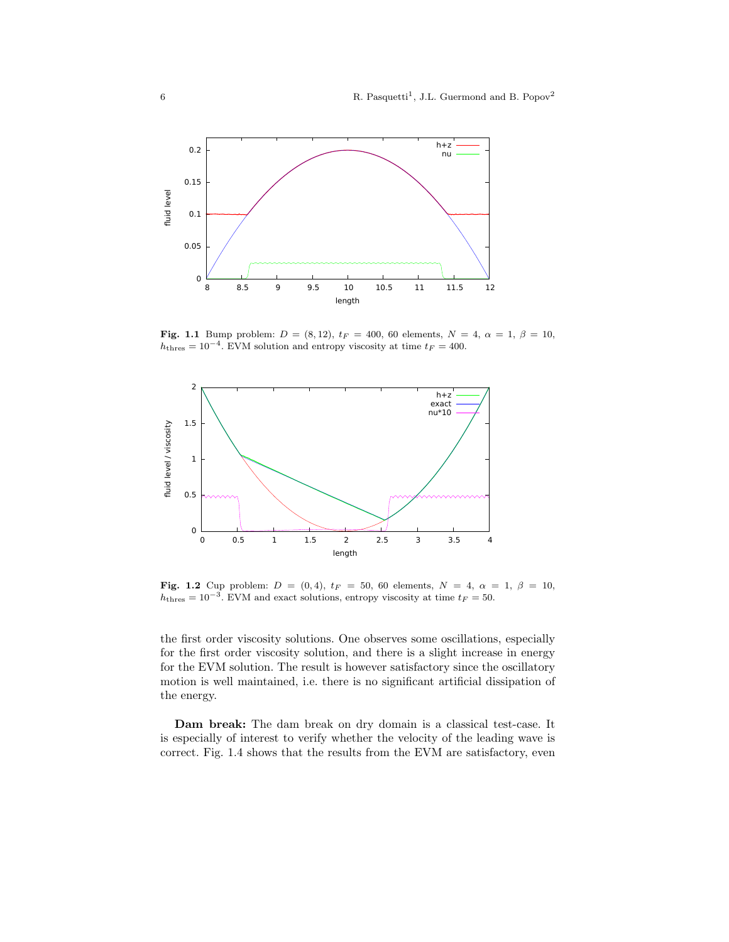

Fig. 1.1 Bump problem:  $D = (8, 12)$ ,  $t_F = 400$ , 60 elements,  $N = 4$ ,  $\alpha = 1$ ,  $\beta = 10$ ,  $h<sub>thres</sub> = 10<sup>-4</sup>$ . EVM solution and entropy viscosity at time  $t<sub>F</sub> = 400$ .



Fig. 1.2 Cup problem:  $D = (0, 4)$ ,  $t_F = 50$ , 60 elements,  $N = 4$ ,  $\alpha = 1$ ,  $\beta = 10$ ,  $h<sub>thres</sub> = 10<sup>-3</sup>$ . EVM and exact solutions, entropy viscosity at time  $t<sub>F</sub> = 50$ .

the first order viscosity solutions. One observes some oscillations, especially for the first order viscosity solution, and there is a slight increase in energy for the EVM solution. The result is however satisfactory since the oscillatory motion is well maintained, i.e. there is no significant artificial dissipation of the energy.

Dam break: The dam break on dry domain is a classical test-case. It is especially of interest to verify whether the velocity of the leading wave is correct. Fig. 1.4 shows that the results from the EVM are satisfactory, even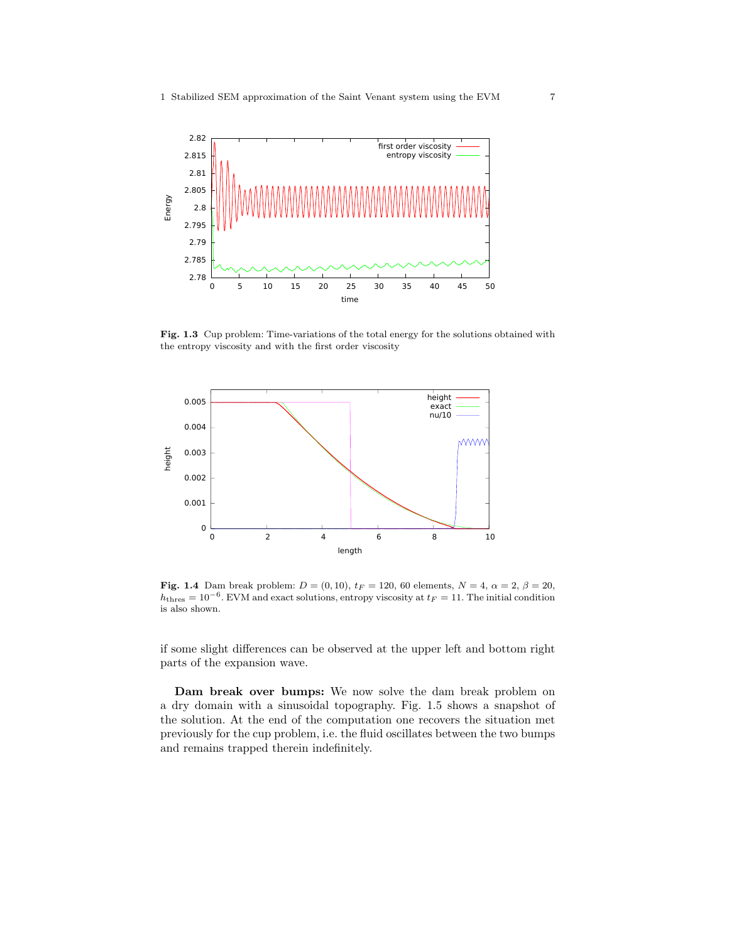

Fig. 1.3 Cup problem: Time-variations of the total energy for the solutions obtained with the entropy viscosity and with the first order viscosity



Fig. 1.4 Dam break problem:  $D = (0, 10)$ ,  $t_F = 120$ , 60 elements,  $N = 4$ ,  $\alpha = 2$ ,  $\beta = 20$ ,  $h<sub>thres</sub> = 10<sup>-6</sup>$ . EVM and exact solutions, entropy viscosity at  $t<sub>F</sub> = 11$ . The initial condition is also shown.

if some slight differences can be observed at the upper left and bottom right parts of the expansion wave.

Dam break over bumps: We now solve the dam break problem on a dry domain with a sinusoidal topography. Fig. 1.5 shows a snapshot of the solution. At the end of the computation one recovers the situation met previously for the cup problem, i.e. the fluid oscillates between the two bumps and remains trapped therein indefinitely.